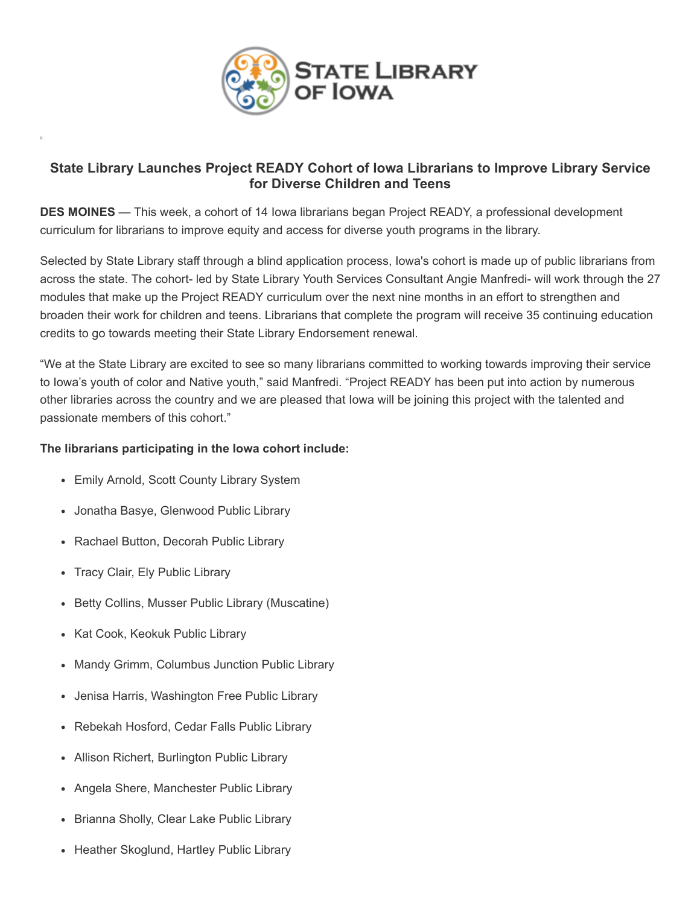

## **State Library Launches Project READY Cohort of Iowa Librarians to Improve Library Service for Diverse Children and Teens**

**DES MOINES** — This week, a cohort of 14 Iowa librarians began Project READY, a professional development curriculum for librarians to improve equity and access for diverse youth programs in the library.

Selected by State Library staff through a blind application process, Iowa's cohort is made up of public librarians from across the state. The cohort- led by State Library Youth Services Consultant Angie Manfredi- will work through the 27 modules that make up the Project READY curriculum over the next nine months in an effort to strengthen and broaden their work for children and teens. Librarians that complete the program will receive 35 continuing education credits to go towards meeting their State Library Endorsement renewal.

"We at the State Library are excited to see so many librarians committed to working towards improving their service to Iowa's youth of color and Native youth," said Manfredi. "Project READY has been put into action by numerous other libraries across the country and we are pleased that Iowa will be joining this project with the talented and passionate members of this cohort."

### **The librarians participating in the Iowa cohort include:**

- Emily Arnold, Scott County Library System
- Jonatha Basye, Glenwood Public Library
- Rachael Button, Decorah Public Library
- Tracy Clair, Ely Public Library
- Betty Collins, Musser Public Library (Muscatine)
- Kat Cook, Keokuk Public Library
- Mandy Grimm, Columbus Junction Public Library
- Jenisa Harris, Washington Free Public Library
- Rebekah Hosford, Cedar Falls Public Library
- Allison Richert, Burlington Public Library
- Angela Shere, Manchester Public Library
- Brianna Sholly, Clear Lake Public Library
- Heather Skoglund, Hartley Public Library